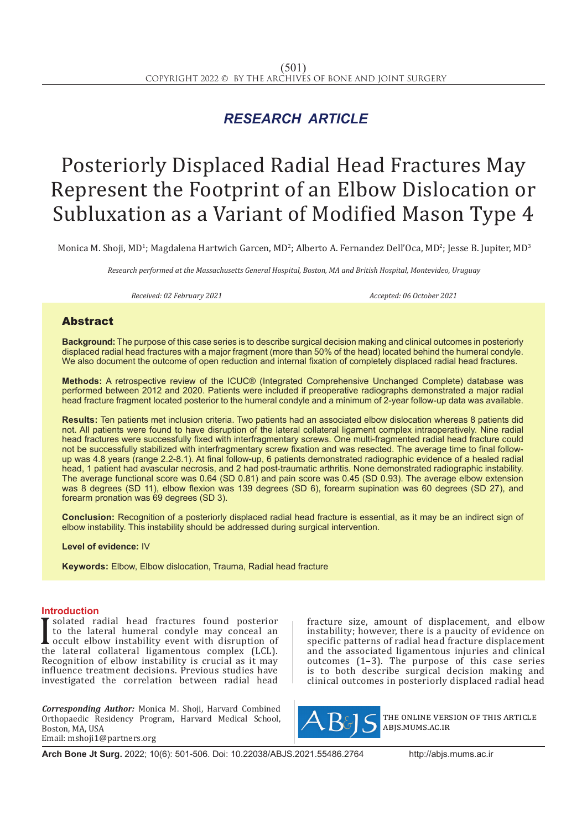## *RESEARCH ARTICLE*

# Posteriorly Displaced Radial Head Fractures May Represent the Footprint of an Elbow Dislocation or Subluxation as a Variant of Modified Mason Type 4

Monica M. Shoji, MD<sup>1</sup>; Magdalena Hartwich Garcen, MD<sup>2</sup>; Alberto A. Fernandez Dell'Oca, MD<sup>2</sup>; Jesse B. Jupiter, MD<sup>3</sup>

*Research performed at the Massachusetts General Hospital, Boston, MA and British Hospital, Montevideo, Uruguay*

*Received: 02 February 2021 Accepted: 06 October 2021*

### Abstract

**Background:** The purpose of this case series is to describe surgical decision making and clinical outcomes in posteriorly displaced radial head fractures with a major fragment (more than 50% of the head) located behind the humeral condyle. We also document the outcome of open reduction and internal fixation of completely displaced radial head fractures.

**Methods:** A retrospective review of the ICUC® (Integrated Comprehensive Unchanged Complete) database was performed between 2012 and 2020. Patients were included if preoperative radiographs demonstrated a major radial head fracture fragment located posterior to the humeral condyle and a minimum of 2-year follow-up data was available.

**Results:** Ten patients met inclusion criteria. Two patients had an associated elbow dislocation whereas 8 patients did not. All patients were found to have disruption of the lateral collateral ligament complex intraoperatively. Nine radial head fractures were successfully fixed with interfragmentary screws. One multi-fragmented radial head fracture could not be successfully stabilized with interfragmentary screw fixation and was resected. The average time to final followup was 4.8 years (range 2.2-8.1). At final follow-up, 6 patients demonstrated radiographic evidence of a healed radial head, 1 patient had avascular necrosis, and 2 had post-traumatic arthritis. None demonstrated radiographic instability. The average functional score was 0.64 (SD 0.81) and pain score was 0.45 (SD 0.93). The average elbow extension was 8 degrees (SD 11), elbow flexion was 139 degrees (SD 6), forearm supination was 60 degrees (SD 27), and forearm pronation was 69 degrees (SD 3).

**Conclusion:** Recognition of a posteriorly displaced radial head fracture is essential, as it may be an indirect sign of elbow instability. This instability should be addressed during surgical intervention.

**Level of evidence:** IV

**Keywords:** Elbow, Elbow dislocation, Trauma, Radial head fracture

#### **Introduction**

I solated Taurah head Tractures found posterior<br>to the lateral humeral condyle may conceal an<br>occult elbow instability event with disruption of<br>the lateral collateral ligamentous complex (LCL). solated radial head fractures found posterior to the lateral humeral condyle may conceal an occult elbow instability event with disruption of Recognition of elbow instability is crucial as it may influence treatment decisions. Previous studies have investigated the correlation between radial head

*Corresponding Author:* Monica M. Shoji, Harvard Combined Orthopaedic Residency Program, Harvard Medical School, Boston, MA, USA Email: mshoji1@partners.org

fracture size, amount of displacement, and elbow instability; however, there is a paucity of evidence on specific patterns of radial head fracture displacement and the associated ligamentous injuries and clinical outcomes (1–3). The purpose of this case series is to both describe surgical decision making and clinical outcomes in posteriorly displaced radial head



the online version of this article abjs.mums.ac.ir

**Arch Bone Jt Surg.** 2022; 10(6): 501-506. Doi: 10.22038/ABJS.2021.55486.2764 http://abjs.mums.ac.ir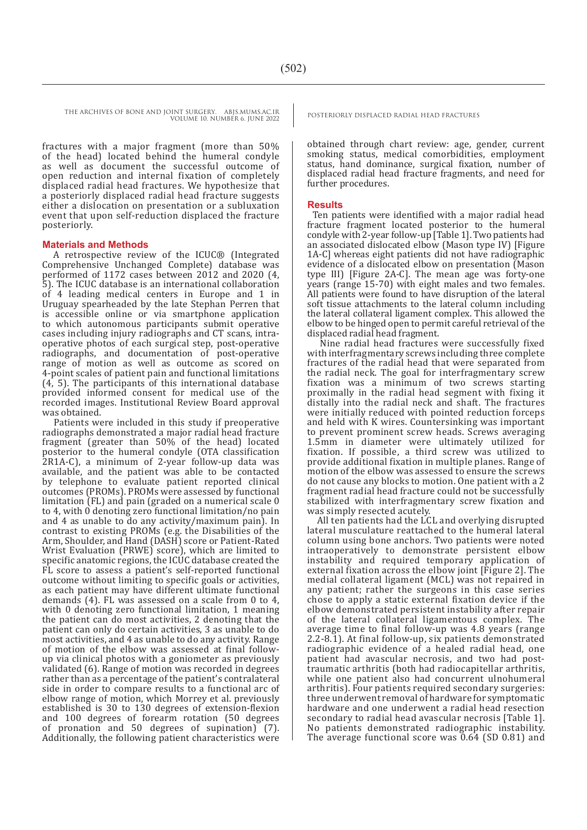fractures with a major fragment (more than 50% of the head) located behind the humeral condyle as well as document the successful outcome of open reduction and internal fixation of completely displaced radial head fractures. We hypothesize that a posteriorly displaced radial head fracture suggests either a dislocation on presentation or a subluxation event that upon self-reduction displaced the fracture posteriorly.

#### **Materials and Methods**

A retrospective review of the ICUC® (Integrated Comprehensive Unchanged Complete) database was performed of 1172 cases between 2012 and 2020 (4, 5). The ICUC database is an international collaboration of 4 leading medical centers in Europe and 1 in Uruguay spearheaded by the late Stephan Perren that is accessible online or via smartphone application to which autonomous participants submit operative cases including injury radiographs and CT scans, intraoperative photos of each surgical step, post-operative radiographs, and documentation of post-operative range of motion as well as outcome as scored on 4-point scales of patient pain and functional limitations (4, 5). The participants of this international database provided informed consent for medical use of the recorded images. Institutional Review Board approval was obtained.

 Patients were included in this study if preoperative radiographs demonstrated a major radial head fracture fragment (greater than 50% of the head) located posterior to the humeral condyle (OTA classification 2R1A-C), a minimum of 2-year follow-up data was available, and the patient was able to be contacted by telephone to evaluate patient reported clinical outcomes (PROMs). PROMs were assessed by functional limitation (FL) and pain (graded on a numerical scale 0 to 4, with 0 denoting zero functional limitation/no pain and 4 as unable to do any activity/maximum pain). In contrast to existing PROMs (e.g. the Disabilities of the Arm, Shoulder, and Hand (DASH) score or Patient-Rated Wrist Evaluation (PRWE) score), which are limited to specific anatomic regions, the ICUC database created the FL score to assess a patient's self-reported functional outcome without limiting to specific goals or activities, as each patient may have different ultimate functional demands (4). FL was assessed on a scale from 0 to 4, with 0 denoting zero functional limitation, 1 meaning the patient can do most activities, 2 denoting that the patient can only do certain activities, 3 as unable to do most activities, and 4 as unable to do any activity. Range of motion of the elbow was assessed at final followup via clinical photos with a goniometer as previously validated (6). Range of motion was recorded in degrees rather than as a percentage of the patient's contralateral side in order to compare results to a functional arc of elbow range of motion, which Morrey et al. previously established is 30 to 130 degrees of extension-flexion and 100 degrees of forearm rotation (50 degrees of pronation and 50 degrees of supination) (7). Additionally, the following patient characteristics were

obtained through chart review: age, gender, current smoking status, medical comorbidities, employment status, hand dominance, surgical fixation, number of displaced radial head fracture fragments, and need for further procedures.

#### **Results**

Ten patients were identified with a major radial head fracture fragment located posterior to the humeral condyle with 2-year follow-up [Table 1]. Two patients had an associated dislocated elbow (Mason type IV) [Figure 1A-C] whereas eight patients did not have radiographic evidence of a dislocated elbow on presentation (Mason type III) [Figure 2A-C]. The mean age was forty-one years (range 15-70) with eight males and two females. All patients were found to have disruption of the lateral soft tissue attachments to the lateral column including the lateral collateral ligament complex. This allowed the elbow to be hinged open to permit careful retrieval of the displaced radial head fragment.

 Nine radial head fractures were successfully fixed with interfragmentary screws including three complete fractures of the radial head that were separated from the radial neck. The goal for interfragmentary screw fixation was a minimum of two screws starting proximally in the radial head segment with fixing it distally into the radial neck and shaft. The fractures were initially reduced with pointed reduction forceps and held with K wires. Countersinking was important to prevent prominent screw heads. Screws averaging 1.5mm in diameter were ultimately utilized for fixation. If possible, a third screw was utilized to provide additional fixation in multiple planes. Range of motion of the elbow was assessed to ensure the screws do not cause any blocks to motion. One patient with a 2 fragment radial head fracture could not be successfully stabilized with interfragmentary screw fixation and was simply resected acutely.

 All ten patients had the LCL and overlying disrupted lateral musculature reattached to the humeral lateral column using bone anchors. Two patients were noted intraoperatively to demonstrate persistent elbow instability and required temporary application of external fixation across the elbow joint [Figure 2]. The medial collateral ligament (MCL) was not repaired in any patient; rather the surgeons in this case series chose to apply a static external fixation device if the elbow demonstrated persistent instability after repair of the lateral collateral ligamentous complex. The average time to final follow-up was 4.8 years (range 2.2-8.1). At final follow-up, six patients demonstrated radiographic evidence of a healed radial head, one patient had avascular necrosis, and two had posttraumatic arthritis (both had radiocapitellar arthritis, while one patient also had concurrent ulnohumeral arthritis). Four patients required secondary surgeries: three underwent removal of hardware for symptomatic hardware and one underwent a radial head resection secondary to radial head avascular necrosis [Table 1]. No patients demonstrated radiographic instability. The average functional score was 0.64 (SD 0.81) and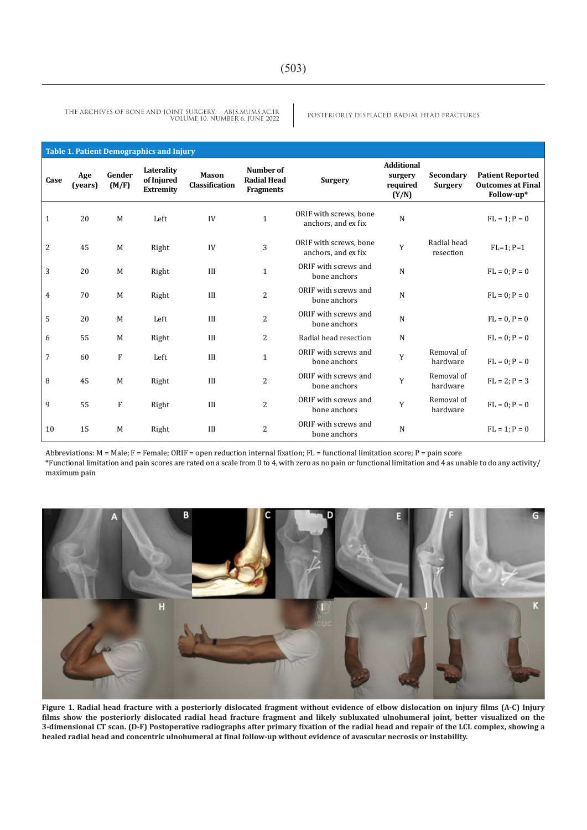POSTERIORLY DISPLACED RADIAL HEAD FRACTURES THE ARCHIVES OF BONE AND JOINT SURGERY. ABJS.MUMS.AC.IR VOLUME 10. NUMBER 6. JUNE 2022

| <b>Table 1. Patient Demographics and Injury</b> |                |                 |                                              |                         |                                                     |                                               |                                                   |                             |                                                                   |
|-------------------------------------------------|----------------|-----------------|----------------------------------------------|-------------------------|-----------------------------------------------------|-----------------------------------------------|---------------------------------------------------|-----------------------------|-------------------------------------------------------------------|
| Case                                            | Age<br>(years) | Gender<br>(M/F) | Laterality<br>of Injured<br><b>Extremity</b> | Mason<br>Classification | Number of<br><b>Radial Head</b><br><b>Fragments</b> | <b>Surgery</b>                                | <b>Additional</b><br>surgery<br>required<br>(Y/N) | Secondary<br><b>Surgery</b> | <b>Patient Reported</b><br><b>Outcomes at Final</b><br>Follow-up* |
| 1                                               | 20             | M               | Left                                         | IV                      | $\mathbf{1}$                                        | ORIF with screws, bone<br>anchors, and ex fix | N                                                 |                             | $FL = 1; P = 0$                                                   |
| $\overline{c}$                                  | 45             | M               | Right                                        | IV                      | 3                                                   | ORIF with screws, bone<br>anchors, and ex fix | Y                                                 | Radial head<br>resection    | $FL=1; P=1$                                                       |
| 3                                               | 20             | M               | Right                                        | III                     | $1\,$                                               | ORIF with screws and<br>bone anchors          | $\mathbf N$                                       |                             | $FL = 0; P = 0$                                                   |
| 4                                               | 70             | M               | Right                                        | III                     | $\overline{2}$                                      | ORIF with screws and<br>bone anchors          | N                                                 |                             | $FL = 0; P = 0$                                                   |
| 5                                               | 20             | M               | Left                                         | III                     | $\overline{c}$                                      | ORIF with screws and<br>bone anchors          | N                                                 |                             | $FL = 0, P = 0$                                                   |
| 6                                               | 55             | M               | Right                                        | III                     | 2                                                   | Radial head resection                         | N                                                 |                             | $FL = 0; P = 0$                                                   |
| 7                                               | 60             | $\mathbf F$     | Left                                         | III                     | $\mathbf{1}$                                        | ORIF with screws and<br>bone anchors          | Y                                                 | Removal of<br>hardware      | $FL = 0$ ; $P = 0$                                                |
| 8                                               | 45             | M               | Right                                        | III                     | $\overline{c}$                                      | ORIF with screws and<br>bone anchors          | Y                                                 | Removal of<br>hardware      | $FL = 2; P = 3$                                                   |
| 9                                               | 55             | ${\rm F}$       | Right                                        | III                     | $\overline{c}$                                      | ORIF with screws and<br>bone anchors          | Y                                                 | Removal of<br>hardware      | $FL = 0; P = 0$                                                   |
| 10                                              | 15             | M               | Right                                        | III                     | $\overline{2}$                                      | ORIF with screws and<br>bone anchors          | N                                                 |                             | $FL = 1; P = 0$                                                   |

Abbreviations:  $M = Male$ ;  $F = Female$ ; ORIF = open reduction internal fixation;  $FL = functional$  limitation score;  $P = pain$  score

\*Functional limitation and pain scores are rated on a scale from 0 to 4, with zero as no pain or functional limitation and 4 as unable to do any activity/ maximum pain



**Figure 1. Radial head fracture with a posteriorly dislocated fragment without evidence of elbow dislocation on injury films (A-C) Injury films show the posteriorly dislocated radial head fracture fragment and likely subluxated ulnohumeral joint, better visualized on the 3-dimensional CT scan. (D-F) Postoperative radiographs after primary fixation of the radial head and repair of the LCL complex, showing a healed radial head and concentric ulnohumeral at final follow-up without evidence of avascular necrosis or instability.**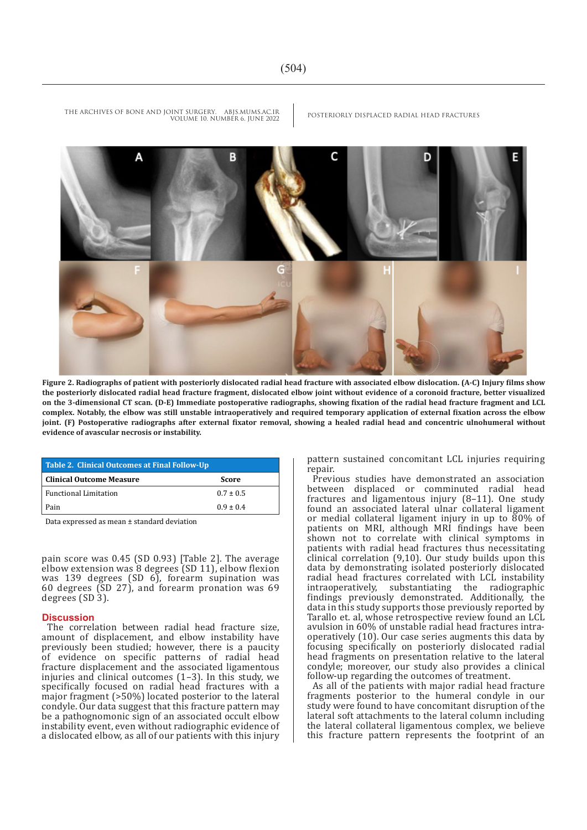

**Figure 2. Radiographs of patient with posteriorly dislocated radial head fracture with associated elbow dislocation. (A-C) Injury films show the posteriorly dislocated radial head fracture fragment, dislocated elbow joint without evidence of a coronoid fracture, better visualized on the 3-dimensional CT scan. (D-E) Immediate postoperative radiographs, showing fixation of the radial head fracture fragment and LCL complex. Notably, the elbow was still unstable intraoperatively and required temporary application of external fixation across the elbow joint. (F) Postoperative radiographs after external fixator removal, showing a healed radial head and concentric ulnohumeral without evidence of avascular necrosis or instability.**

| Table 2. Clinical Outcomes at Final Follow-Up |               |  |  |  |  |  |
|-----------------------------------------------|---------------|--|--|--|--|--|
| <b>Clinical Outcome Measure</b>               | Score         |  |  |  |  |  |
| <b>Functional Limitation</b>                  | $0.7 + 0.5$   |  |  |  |  |  |
| Pain                                          | $0.9 \pm 0.4$ |  |  |  |  |  |

Data expressed as mean ± standard deviation

pain score was 0.45 (SD 0.93) [Table 2]. The average elbow extension was 8 degrees (SD 11), elbow flexion was 139 degrees (SD 6), forearm supination was 60 degrees (SD 27), and forearm pronation was 69 degrees (SD 3).

#### **Discussion**

The correlation between radial head fracture size, amount of displacement, and elbow instability have previously been studied; however, there is a paucity of evidence on specific patterns of radial head fracture displacement and the associated ligamentous injuries and clinical outcomes (1–3). In this study, we specifically focused on radial head fractures with a major fragment (>50%) located posterior to the lateral condyle. Our data suggest that this fracture pattern may be a pathognomonic sign of an associated occult elbow instability event, even without radiographic evidence of a dislocated elbow, as all of our patients with this injury pattern sustained concomitant LCL injuries requiring repair.

Previous studies have demonstrated an association between displaced or comminuted radial head fractures and ligamentous injury (8–11). One study found an associated lateral ulnar collateral ligament or medial collateral ligament injury in up to 80% of patients on MRI, although MRI findings have been shown not to correlate with clinical symptoms in patients with radial head fractures thus necessitating clinical correlation (9,10). Our study builds upon this data by demonstrating isolated posteriorly dislocated radial head fractures correlated with LCL instability<br>intraoperatively, substantiating the radiographic substantiating the radiographic findings previously demonstrated. Additionally, the data in this study supports those previously reported by Tarallo et. al, whose retrospective review found an LCL avulsion in 60% of unstable radial head fractures intraoperatively (10). Our case series augments this data by focusing specifically on posteriorly dislocated radial head fragments on presentation relative to the lateral condyle; moreover, our study also provides a clinical follow-up regarding the outcomes of treatment.

As all of the patients with major radial head fracture fragments posterior to the humeral condyle in our study were found to have concomitant disruption of the lateral soft attachments to the lateral column including the lateral collateral ligamentous complex, we believe this fracture pattern represents the footprint of an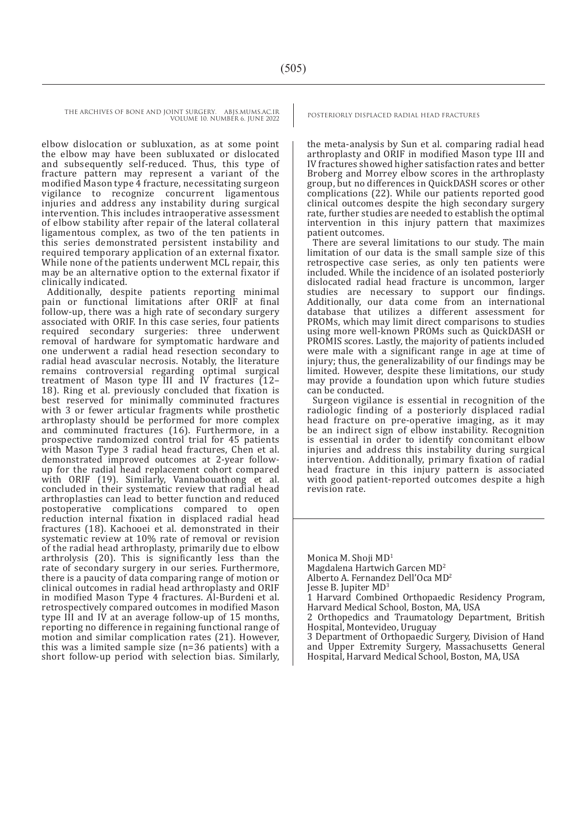> elbow dislocation or subluxation, as at some point the elbow may have been subluxated or dislocated and subsequently self-reduced. Thus, this type of fracture pattern may represent a variant of the modified Mason type 4 fracture, necessitating surgeon vigilance to recognize concurrent ligamentous injuries and address any instability during surgical intervention. This includes intraoperative assessment of elbow stability after repair of the lateral collateral ligamentous complex, as two of the ten patients in this series demonstrated persistent instability and required temporary application of an external fixator. While none of the patients underwent MCL repair, this may be an alternative option to the external fixator if clinically indicated.

> Additionally, despite patients reporting minimal pain or functional limitations after ORIF at final follow-up, there was a high rate of secondary surgery associated with ORIF. In this case series, four patients required secondary surgeries: three underwent removal of hardware for symptomatic hardware and one underwent a radial head resection secondary to radial head avascular necrosis. Notably, the literature remains controversial regarding optimal surgical treatment of Mason type III and IV fractures (12– 18). Ring et al. previously concluded that fixation is best reserved for minimally comminuted fractures with 3 or fewer articular fragments while prosthetic arthroplasty should be performed for more complex and comminuted fractures (16). Furthermore, in a prospective randomized control trial for 45 patients with Mason Type 3 radial head fractures, Chen et al. demonstrated improved outcomes at 2-year followup for the radial head replacement cohort compared with ORIF (19). Similarly, Vannabouathong et al. concluded in their systematic review that radial head arthroplasties can lead to better function and reduced postoperative complications compared to open reduction internal fixation in displaced radial head fractures (18). Kachooei et al. demonstrated in their systematic review at 10% rate of removal or revision of the radial head arthroplasty, primarily due to elbow arthrolysis (20). This is significantly less than the rate of secondary surgery in our series. Furthermore, there is a paucity of data comparing range of motion or clinical outcomes in radial head arthroplasty and ORIF in modified Mason Type 4 fractures. Al-Burdeni et al. retrospectively compared outcomes in modified Mason type III and IV at an average follow-up of 15 months, reporting no difference in regaining functional range of motion and similar complication rates (21). However, this was a limited sample size (n=36 patients) with a short follow-up period with selection bias. Similarly,

the meta-analysis by Sun et al. comparing radial head arthroplasty and ORIF in modified Mason type III and IV fractures showed higher satisfaction rates and better Broberg and Morrey elbow scores in the arthroplasty group, but no differences in QuickDASH scores or other complications (22). While our patients reported good clinical outcomes despite the high secondary surgery rate, further studies are needed to establish the optimal intervention in this injury pattern that maximizes patient outcomes.

There are several limitations to our study. The main limitation of our data is the small sample size of this retrospective case series, as only ten patients were included. While the incidence of an isolated posteriorly dislocated radial head fracture is uncommon, larger studies are necessary to support our findings. Additionally, our data come from an international database that utilizes a different assessment for PROMs, which may limit direct comparisons to studies using more well-known PROMs such as QuickDASH or PROMIS scores. Lastly, the majority of patients included were male with a significant range in age at time of injury; thus, the generalizability of our findings may be limited. However, despite these limitations, our study may provide a foundation upon which future studies can be conducted.

Surgeon vigilance is essential in recognition of the radiologic finding of a posteriorly displaced radial head fracture on pre-operative imaging, as it may be an indirect sign of elbow instability. Recognition is essential in order to identify concomitant elbow injuries and address this instability during surgical intervention. Additionally, primary fixation of radial head fracture in this injury pattern is associated with good patient-reported outcomes despite a high revision rate.

Monica M. Shoji MD<sup>1</sup>

Magdalena Hartwich Garcen MD<sup>2</sup>

Alberto A. Fernandez Dell'Oca MD<sup>2</sup>

Jesse B. Jupiter MD3

1 Harvard Combined Orthopaedic Residency Program, Harvard Medical School, Boston, MA, USA

2 Orthopedics and Traumatology Department, British Hospital, Montevideo, Uruguay

3 Department of Orthopaedic Surgery, Division of Hand and Upper Extremity Surgery, Massachusetts General Hospital, Harvard Medical School, Boston, MA, USA